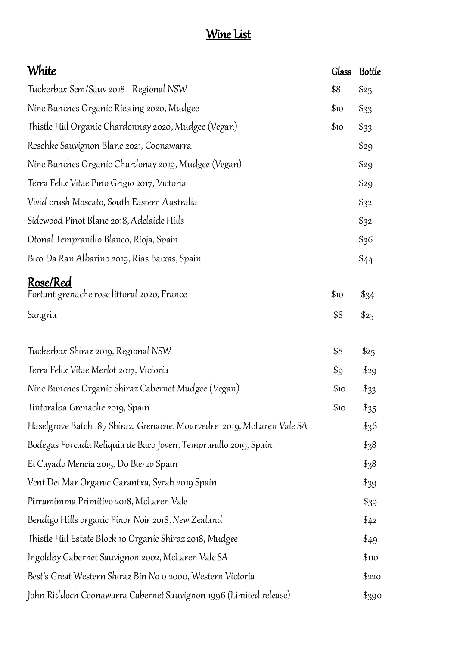## Wine List

| <u>White</u>                                                            | <b>Glass</b> | <b>Bottle</b>  |
|-------------------------------------------------------------------------|--------------|----------------|
| Tuckerbox Sem/Sauv 2018 - Regional NSW                                  | \$8          | \$25           |
| Nine Bunches Organic Riesling 2020, Mudgee                              | \$10         | $\frac{$33}{}$ |
| Thistle Hill Organic Chardonnay 2020, Mudgee (Vegan)                    | \$10         | $\frac{$33}{}$ |
| Reschke Sauvignon Blanc 2021, Coonawarra                                |              | \$29           |
| Nine Bunches Organic Chardonay 2019, Mudgee (Vegan)                     |              | \$29           |
| Terra Felix Vitae Pino Grigio 2017, Victoria                            |              | \$29           |
| Vivid crush Moscato, South Eastern Australia                            |              | $\frac{2}{32}$ |
| Sidewood Pinot Blanc 2018, Adelaide Hills                               |              | $\frac{2}{32}$ |
| Otonal Tempranillo Blanco, Rioja, Spain                                 |              | \$36           |
| Bico Da Ran Albarino 2019, Rias Baixas, Spain                           |              | \$44           |
| Rose/Red<br>Fortant grenache rose littoral 2020, France                 | \$10         | $\frac{$34}$   |
| Sangria                                                                 | \$8          | \$25           |
| Tuckerbox Shiraz 2019, Regional NSW                                     | \$8          | \$25           |
| Terra Felix Vitae Merlot 2017, Victoria                                 | \$9          | \$29           |
| Nine Bunches Organic Shiraz Cabernet Mudgee (Vegan)                     | \$10         | $\frac{$33}{}$ |
| Tintoralba Grenache 2019, Spain                                         | \$10         | $\frac{$35}{}$ |
| Haselgrove Batch 187 Shiraz, Grenache, Mourvedre  2019, McLaren Vale SA |              | \$36           |
| Bodegas Forcada Reliquia de Baco Joven, Tempranillo 2019, Spain         |              | \$38           |
| El Cayado Mencía 2015, Do Bierzo Spain                                  |              | \$38           |
| Vent Del Mar Organic Garantxa, Syrah 2019 Spain                         |              | $\frac{$39}$   |
| Pirramimma Primitivo 2018, McLaren Vale                                 |              | $\frac{$39}$   |
| Bendigo Hills organic Pinor Noir 2018, New Zealand                      |              | \$42           |
| Thistle Hill Estate Block 10 Organic Shiraz 2018, Mudgee                |              | \$49           |
| Ingoldby Cabernet Sauvignon 2002, McLaren Vale SA                       |              | \$110          |
| Best's Great Western Shiraz Bin No o 2000, Western Victoria             |              | \$220          |
| John Riddoch Coonawarra Cabernet Sauvignon 1996 (Limited release)       |              | \$390          |